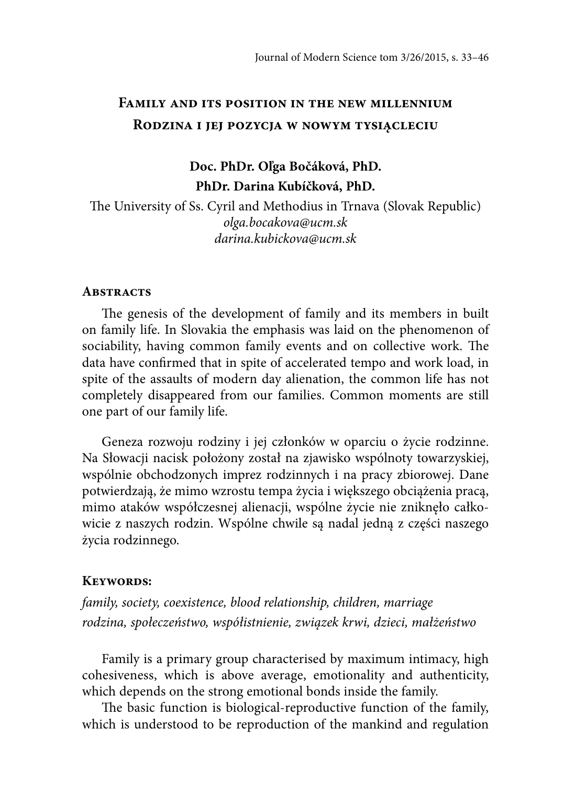# **Family and its position in the new millennium Rodzina i jej pozycja w nowym tysiącleciu**

# **Doc. PhDr. Oľga Bočáková, PhD. PhDr. Darina Kubíčková, PhD.**

The University of Ss. Cyril and Methodius in Trnava (Slovak Republic) olga.bocakova@ucm.sk darina.kubickova@ucm.sk

#### **Abstracts**

The genesis of the development of family and its members in built on family life. In Slovakia the emphasis was laid on the phenomenon of sociability, having common family events and on collective work. The data have confirmed that in spite of accelerated tempo and work load, in spite of the assaults of modern day alienation, the common life has not completely disappeared from our families. Common moments are still one part of our family life.

Geneza rozwoju rodziny i jej członków w oparciu o życie rodzinne. Na Słowacji nacisk położony został na zjawisko wspólnoty towarzyskiej, wspólnie obchodzonych imprez rodzinnych i na pracy zbiorowej. Dane potwierdzają, że mimo wzrostu tempa życia i większego obciążenia pracą, mimo ataków współczesnej alienacji, wspólne życie nie zniknęło całkowicie z naszych rodzin. Wspólne chwile są nadal jedną z części naszego życia rodzinnego.

### **Keywords:**

family, society, coexistence, blood relationship, children, marriage rodzina, społeczeństwo, współistnienie, związek krwi, dzieci, małżeństwo

Family is a primary group characterised by maximum intimacy, high cohesiveness, which is above average, emotionality and authenticity, which depends on the strong emotional bonds inside the family.

The basic function is biological-reproductive function of the family, which is understood to be reproduction of the mankind and regulation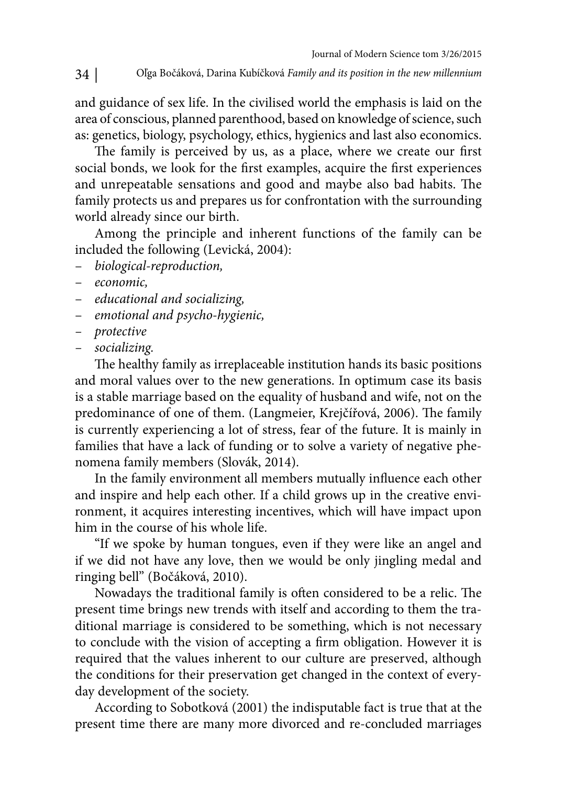and guidance of sex life. In the civilised world the emphasis is laid on the area of conscious, planned parenthood, based on knowledge of science, such as: genetics, biology, psychology, ethics, hygienics and last also economics.

The family is perceived by us, as a place, where we create our first social bonds, we look for the first examples, acquire the first experiences and unrepeatable sensations and good and maybe also bad habits. The family protects us and prepares us for confrontation with the surrounding world already since our birth.

Among the principle and inherent functions of the family can be included the following (Levická, 2004):

- biological-reproduction,
- economic,
- educational and socializing,
- emotional and psycho-hygienic,
- protective
- socializing.

The healthy family as irreplaceable institution hands its basic positions and moral values over to the new generations. In optimum case its basis is a stable marriage based on the equality of husband and wife, not on the predominance of one of them. (Langmeier, Krejčířová, 2006). The family is currently experiencing a lot of stress, fear of the future. It is mainly in families that have a lack of funding or to solve a variety of negative phenomena family members (Slovák, 2014).

In the family environment all members mutually influence each other and inspire and help each other. If a child grows up in the creative environment, it acquires interesting incentives, which will have impact upon him in the course of his whole life.

"If we spoke by human tongues, even if they were like an angel and if we did not have any love, then we would be only jingling medal and ringing bell" (Bočáková, 2010).

Nowadays the traditional family is often considered to be a relic. The present time brings new trends with itself and according to them the traditional marriage is considered to be something, which is not necessary to conclude with the vision of accepting a firm obligation. However it is required that the values inherent to our culture are preserved, although the conditions for their preservation get changed in the context of everyday development of the society.

According to Sobotková (2001) the indisputable fact is true that at the present time there are many more divorced and re-concluded marriages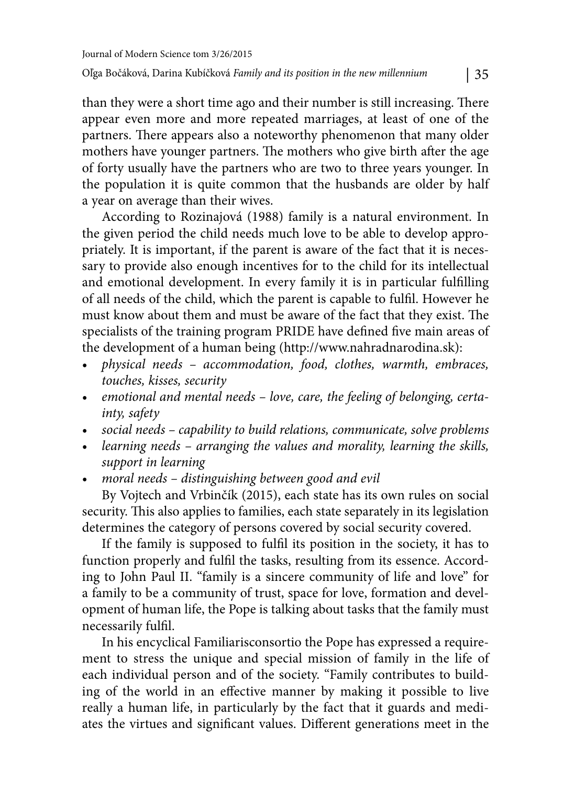than they were a short time ago and their number is still increasing. There appear even more and more repeated marriages, at least of one of the partners. There appears also a noteworthy phenomenon that many older mothers have younger partners. The mothers who give birth after the age of forty usually have the partners who are two to three years younger. In the population it is quite common that the husbands are older by half a year on average than their wives.

According to Rozinajová (1988) family is a natural environment. In the given period the child needs much love to be able to develop appropriately. It is important, if the parent is aware of the fact that it is necessary to provide also enough incentives for to the child for its intellectual and emotional development. In every family it is in particular fulfilling of all needs of the child, which the parent is capable to fulfil. However he must know about them and must be aware of the fact that they exist. The specialists of the training program PRIDE have defined five main areas of the development of a human being (http://www.nahradnarodina.sk):

- physical needs accommodation, food, clothes, warmth, embraces, touches, kisses, security
- emotional and mental needs love, care, the feeling of belonging, certainty, safety
- social needs capability to build relations, communicate, solve problems
- learning needs arranging the values and morality, learning the skills, support in learning
- moral needs distinguishing between good and evil

By Vojtech and Vrbinčík (2015), each state has its own rules on social security. This also applies to families, each state separately in its legislation determines the category of persons covered by social security covered.

If the family is supposed to fulfil its position in the society, it has to function properly and fulfil the tasks, resulting from its essence. According to John Paul II. "family is a sincere community of life and love" for a family to be a community of trust, space for love, formation and development of human life, the Pope is talking about tasks that the family must necessarily fulfil.

In his encyclical Familiarisconsortio the Pope has expressed a requirement to stress the unique and special mission of family in the life of each individual person and of the society. "Family contributes to building of the world in an effective manner by making it possible to live really a human life, in particularly by the fact that it guards and mediates the virtues and significant values. Different generations meet in the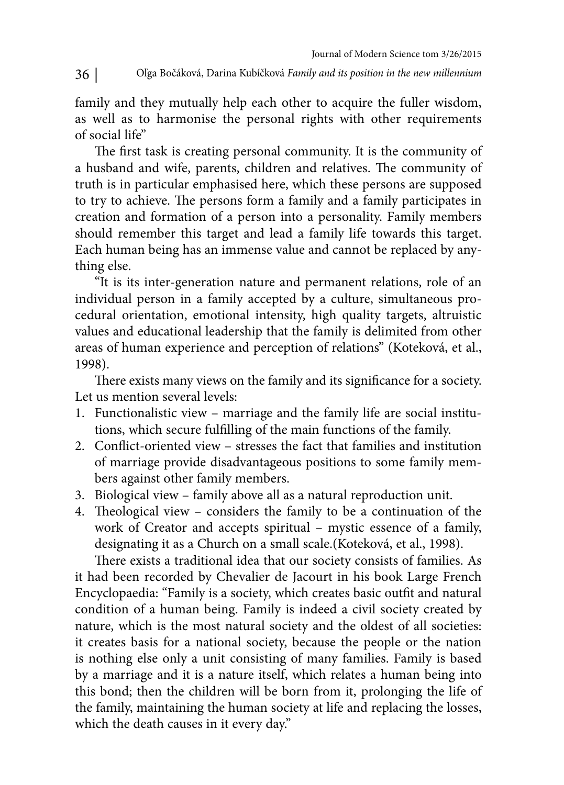family and they mutually help each other to acquire the fuller wisdom, as well as to harmonise the personal rights with other requirements of social life"

The first task is creating personal community. It is the community of a husband and wife, parents, children and relatives. The community of truth is in particular emphasised here, which these persons are supposed to try to achieve. The persons form a family and a family participates in creation and formation of a person into a personality. Family members should remember this target and lead a family life towards this target. Each human being has an immense value and cannot be replaced by anything else.

"It is its inter-generation nature and permanent relations, role of an individual person in a family accepted by a culture, simultaneous procedural orientation, emotional intensity, high quality targets, altruistic values and educational leadership that the family is delimited from other areas of human experience and perception of relations" (Koteková, et al., 1998).

There exists many views on the family and its significance for a society. Let us mention several levels:

- 1. Functionalistic view marriage and the family life are social institutions, which secure fulfilling of the main functions of the family.
- 2. Conflict-oriented view stresses the fact that families and institution of marriage provide disadvantageous positions to some family members against other family members.
- 3. Biological view family above all as a natural reproduction unit.
- 4. Theological view considers the family to be a continuation of the work of Creator and accepts spiritual – mystic essence of a family, designating it as a Church on a small scale.(Koteková, et al., 1998).

There exists a traditional idea that our society consists of families. As it had been recorded by Chevalier de Jacourt in his book Large French Encyclopaedia: "Family is a society, which creates basic outfit and natural condition of a human being. Family is indeed a civil society created by nature, which is the most natural society and the oldest of all societies: it creates basis for a national society, because the people or the nation is nothing else only a unit consisting of many families. Family is based by a marriage and it is a nature itself, which relates a human being into this bond; then the children will be born from it, prolonging the life of the family, maintaining the human society at life and replacing the losses, which the death causes in it every day."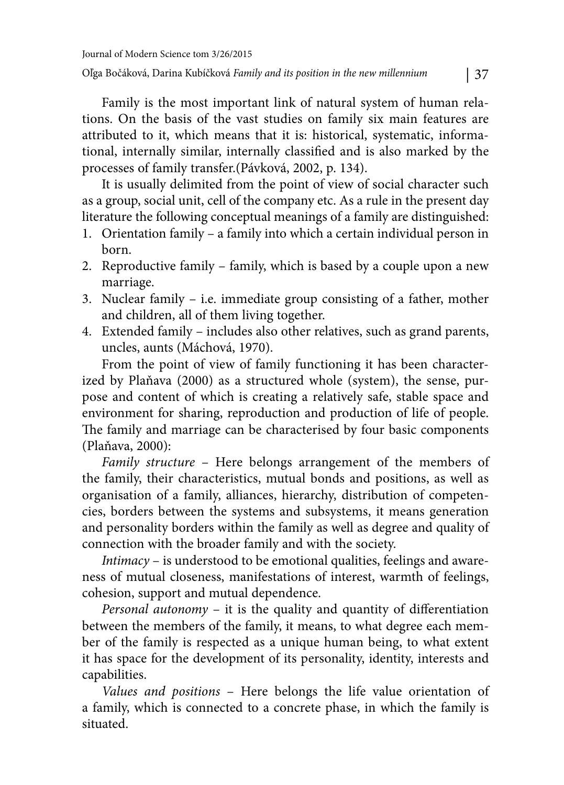Family is the most important link of natural system of human relations. On the basis of the vast studies on family six main features are attributed to it, which means that it is: historical, systematic, informational, internally similar, internally classified and is also marked by the processes of family transfer.(Pávková, 2002, p. 134).

It is usually delimited from the point of view of social character such as a group, social unit, cell of the company etc. As a rule in the present day literature the following conceptual meanings of a family are distinguished:

- 1. Orientation family a family into which a certain individual person in born.
- 2. Reproductive family family, which is based by a couple upon a new marriage.
- 3. Nuclear family i.e. immediate group consisting of a father, mother and children, all of them living together.
- 4. Extended family includes also other relatives, such as grand parents, uncles, aunts (Máchová, 1970).

From the point of view of family functioning it has been characterized by Plaňava (2000) as a structured whole (system), the sense, purpose and content of which is creating a relatively safe, stable space and environment for sharing, reproduction and production of life of people. The family and marriage can be characterised by four basic components (Plaňava, 2000):

Family structure – Here belongs arrangement of the members of the family, their characteristics, mutual bonds and positions, as well as organisation of a family, alliances, hierarchy, distribution of competencies, borders between the systems and subsystems, it means generation and personality borders within the family as well as degree and quality of connection with the broader family and with the society.

Intimacy – is understood to be emotional qualities, feelings and awareness of mutual closeness, manifestations of interest, warmth of feelings, cohesion, support and mutual dependence.

Personal autonomy  $-$  it is the quality and quantity of differentiation between the members of the family, it means, to what degree each member of the family is respected as a unique human being, to what extent it has space for the development of its personality, identity, interests and capabilities.

Values and positions – Here belongs the life value orientation of a family, which is connected to a concrete phase, in which the family is situated.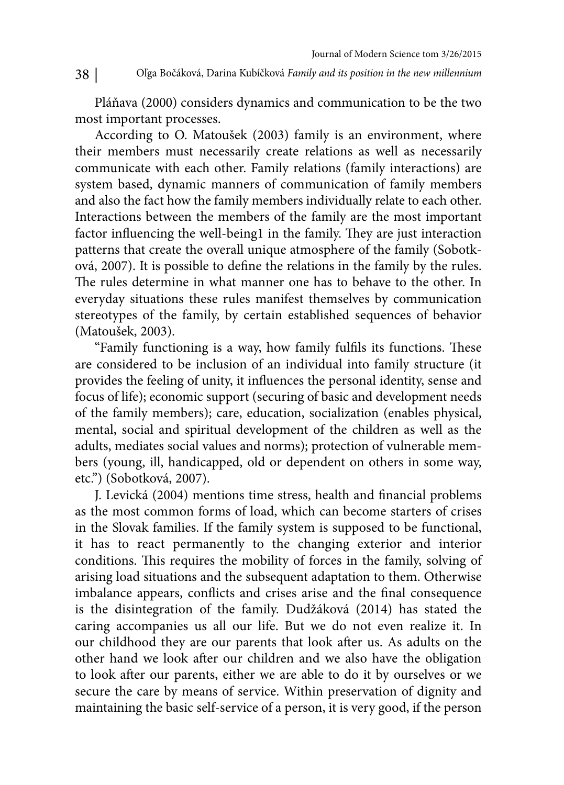Pláňava (2000) considers dynamics and communication to be the two most important processes.

According to O. Matoušek (2003) family is an environment, where their members must necessarily create relations as well as necessarily communicate with each other. Family relations (family interactions) are system based, dynamic manners of communication of family members and also the fact how the family members individually relate to each other. Interactions between the members of the family are the most important factor influencing the well-being1 in the family. They are just interaction patterns that create the overall unique atmosphere of the family (Sobotková, 2007). It is possible to define the relations in the family by the rules. The rules determine in what manner one has to behave to the other. In everyday situations these rules manifest themselves by communication stereotypes of the family, by certain established sequences of behavior (Matoušek, 2003).

"Family functioning is a way, how family fulfils its functions. These are considered to be inclusion of an individual into family structure (it provides the feeling of unity, it influences the personal identity, sense and focus of life); economic support (securing of basic and development needs of the family members); care, education, socialization (enables physical, mental, social and spiritual development of the children as well as the adults, mediates social values and norms); protection of vulnerable members (young, ill, handicapped, old or dependent on others in some way, etc.") (Sobotková, 2007).

J. Levická (2004) mentions time stress, health and financial problems as the most common forms of load, which can become starters of crises in the Slovak families. If the family system is supposed to be functional, it has to react permanently to the changing exterior and interior conditions. This requires the mobility of forces in the family, solving of arising load situations and the subsequent adaptation to them. Otherwise imbalance appears, conflicts and crises arise and the final consequence is the disintegration of the family. Dudžáková (2014) has stated the caring accompanies us all our life. But we do not even realize it. In our childhood they are our parents that look after us. As adults on the other hand we look after our children and we also have the obligation to look after our parents, either we are able to do it by ourselves or we secure the care by means of service. Within preservation of dignity and maintaining the basic self-service of a person, it is very good, if the person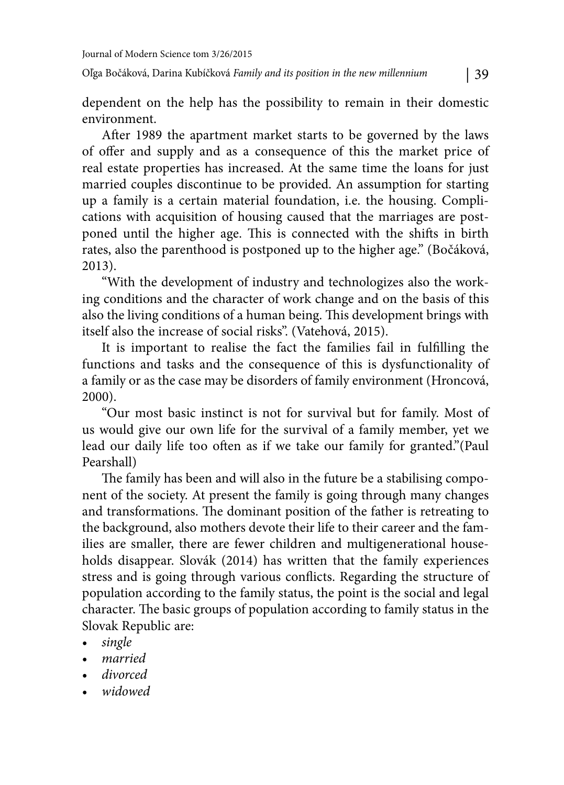After 1989 the apartment market starts to be governed by the laws of offer and supply and as a consequence of this the market price of real estate properties has increased. At the same time the loans for just married couples discontinue to be provided. An assumption for starting up a family is a certain material foundation, i.e. the housing. Complications with acquisition of housing caused that the marriages are postponed until the higher age. This is connected with the shifts in birth rates, also the parenthood is postponed up to the higher age." (Bočáková, 2013).

"With the development of industry and technologizes also the working conditions and the character of work change and on the basis of this also the living conditions of a human being. This development brings with itself also the increase of social risks". (Vatehová, 2015).

It is important to realise the fact the families fail in fulfilling the functions and tasks and the consequence of this is dysfunctionality of a family or as the case may be disorders of family environment (Hroncová, 2000).

"Our most basic instinct is not for survival but for family. Most of us would give our own life for the survival of a family member, yet we lead our daily life too often as if we take our family for granted."(Paul Pearshall)

The family has been and will also in the future be a stabilising component of the society. At present the family is going through many changes and transformations. The dominant position of the father is retreating to the background, also mothers devote their life to their career and the families are smaller, there are fewer children and multigenerational households disappear. Slovák (2014) has written that the family experiences stress and is going through various conflicts. Regarding the structure of population according to the family status, the point is the social and legal character. The basic groups of population according to family status in the Slovak Republic are:

- single
- married
- divorced
- widowed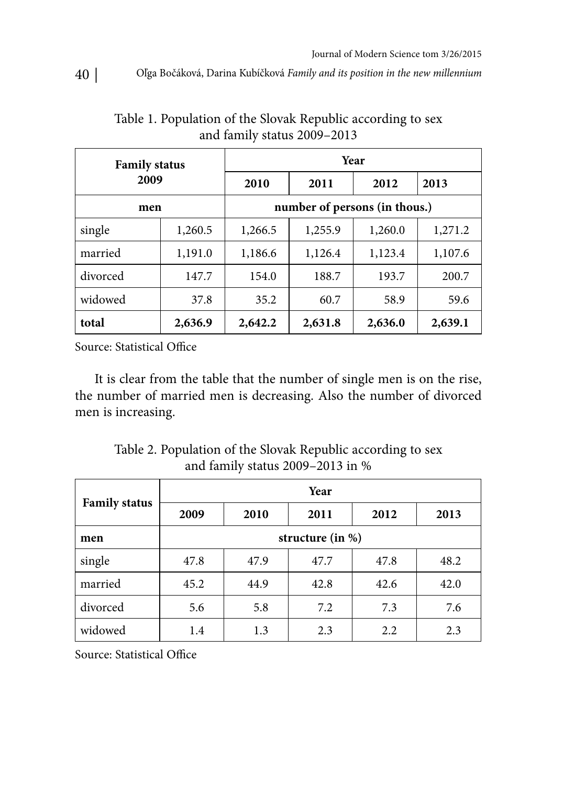| <b>Family status</b><br>2009 |         | Year                          |         |         |         |
|------------------------------|---------|-------------------------------|---------|---------|---------|
|                              |         | 2010                          | 2011    | 2012    | 2013    |
| men                          |         | number of persons (in thous.) |         |         |         |
| single                       | 1,260.5 | 1,266.5                       | 1,255.9 | 1,260.0 | 1,271.2 |
| married                      | 1,191.0 | 1,186.6                       | 1,126.4 | 1,123.4 | 1,107.6 |
| divorced                     | 147.7   | 154.0                         | 188.7   | 193.7   | 200.7   |
| widowed                      | 37.8    | 35.2                          | 60.7    | 58.9    | 59.6    |
| total                        | 2,636.9 | 2,642.2                       | 2,631.8 | 2,636.0 | 2,639.1 |

Table 1. Population of the Slovak Republic according to sex and family status 2009–2013

Source: Statistical Office

It is clear from the table that the number of single men is on the rise, the number of married men is decreasing. Also the number of divorced men is increasing.

Table 2. Population of the Slovak Republic according to sex and family status 2009–2013 in %

|                      | Year                |      |      |      |      |  |
|----------------------|---------------------|------|------|------|------|--|
| <b>Family status</b> | 2009                | 2010 | 2011 | 2012 | 2013 |  |
| men                  | structure (in $%$ ) |      |      |      |      |  |
| single               | 47.8                | 47.9 | 47.7 | 47.8 | 48.2 |  |
| married              | 45.2                | 44.9 | 42.8 | 42.6 | 42.0 |  |
| divorced             | 5.6                 | 5.8  | 7.2  | 7.3  | 7.6  |  |
| widowed              | 1.4                 | 1.3  | 2.3  | 2.2  | 2.3  |  |

Source: Statistical Office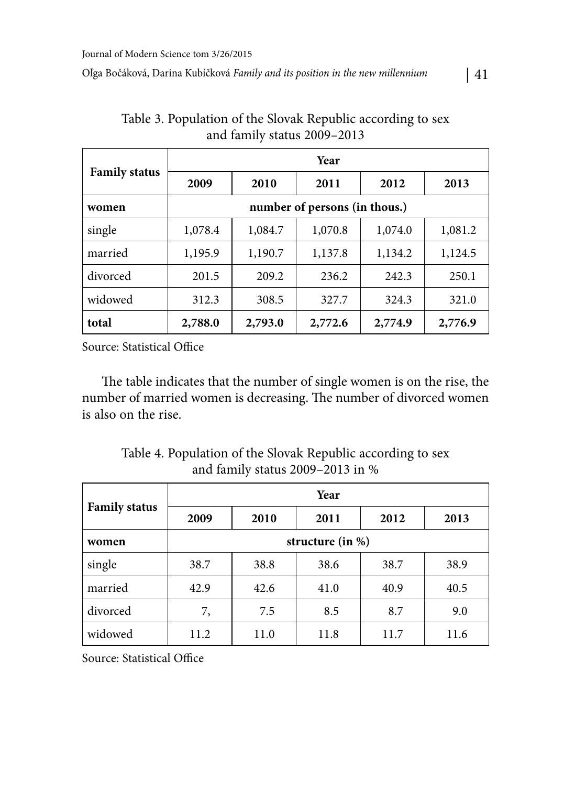| <b>Family status</b> | Year                          |         |         |         |         |
|----------------------|-------------------------------|---------|---------|---------|---------|
|                      | 2009                          | 2010    | 2011    | 2012    | 2013    |
| women                | number of persons (in thous.) |         |         |         |         |
| single               | 1,078.4                       | 1,084.7 | 1,070.8 | 1,074.0 | 1,081.2 |
| married              | 1,195.9                       | 1,190.7 | 1,137.8 | 1,134.2 | 1,124.5 |
| divorced             | 201.5                         | 209.2   | 236.2   | 242.3   | 250.1   |
| widowed              | 312.3                         | 308.5   | 327.7   | 324.3   | 321.0   |
| total                | 2,788.0                       | 2,793.0 | 2,772.6 | 2,774.9 | 2,776.9 |

Table 3. Population of the Slovak Republic according to sex and family status 2009–2013

Source: Statistical Office

The table indicates that the number of single women is on the rise, the number of married women is decreasing. The number of divorced women is also on the rise.

Table 4. Population of the Slovak Republic according to sex and family status 2009–2013 in %

| <b>Family status</b> | Year                 |      |      |      |      |  |
|----------------------|----------------------|------|------|------|------|--|
|                      | 2009                 | 2010 | 2011 | 2012 | 2013 |  |
| women                | structure (in $\%$ ) |      |      |      |      |  |
| single               | 38.7                 | 38.8 | 38.6 | 38.7 | 38.9 |  |
| married              | 42.9                 | 42.6 | 41.0 | 40.9 | 40.5 |  |
| divorced             | 7,                   | 7.5  | 8.5  | 8.7  | 9.0  |  |
| widowed              | 11.2                 | 11.0 | 11.8 | 11.7 | 11.6 |  |

Source: Statistical Office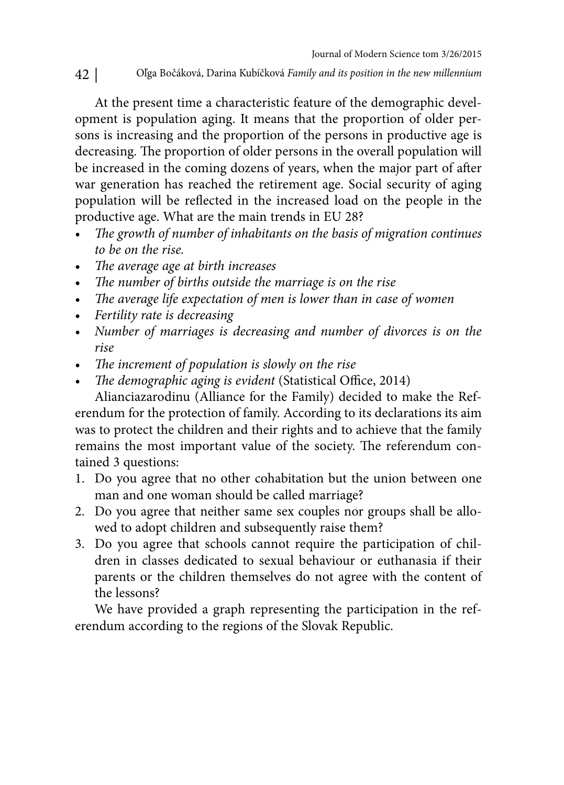At the present time a characteristic feature of the demographic development is population aging. It means that the proportion of older persons is increasing and the proportion of the persons in productive age is decreasing. The proportion of older persons in the overall population will be increased in the coming dozens of years, when the major part of after war generation has reached the retirement age. Social security of aging population will be reflected in the increased load on the people in the productive age. What are the main trends in EU 28?

- The growth of number of inhabitants on the basis of migration continues to be on the rise.
- The average age at birth increases
- The number of births outside the marriage is on the rise
- The average life expectation of men is lower than in case of women
- Fertility rate is decreasing
- Number of marriages is decreasing and number of divorces is on the rise
- The increment of population is slowly on the rise
- The demographic aging is evident (Statistical Office, 2014)

Alianciazarodinu (Alliance for the Family) decided to make the Referendum for the protection of family. According to its declarations its aim was to protect the children and their rights and to achieve that the family remains the most important value of the society. The referendum contained 3 questions:

- 1. Do you agree that no other cohabitation but the union between one man and one woman should be called marriage?
- 2. Do you agree that neither same sex couples nor groups shall be allowed to adopt children and subsequently raise them?
- 3. Do you agree that schools cannot require the participation of children in classes dedicated to sexual behaviour or euthanasia if their parents or the children themselves do not agree with the content of the lessons?

We have provided a graph representing the participation in the referendum according to the regions of the Slovak Republic.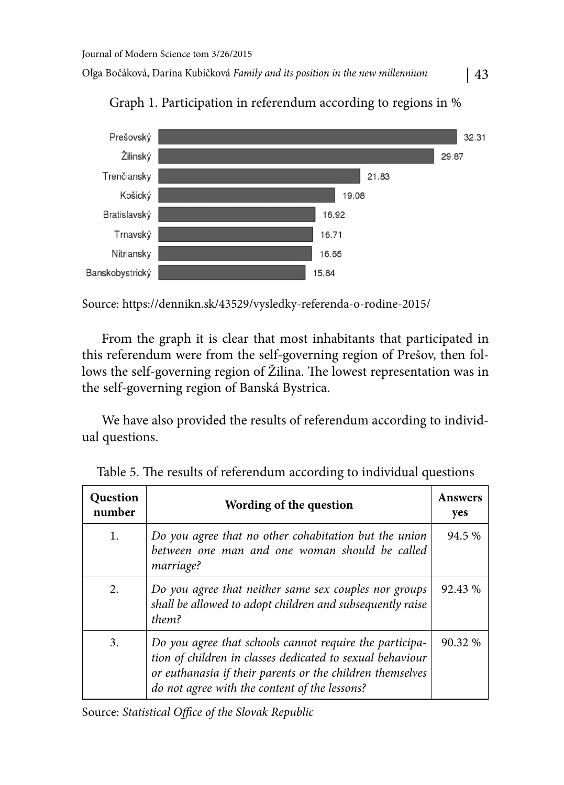

Graph 1. Participation in referendum according to regions in %

Source: https://dennikn.sk/43529/vysledky-referenda-o-rodine-2015/

From the graph it is clear that most inhabitants that participated in this referendum were from the self-governing region of Prešov, then follows the self-governing region of Žilina. The lowest representation was in the self-governing region of Banská Bystrica.

We have also provided the results of referendum according to individual questions.

| <b>Question</b><br>number | Wording of the question                                                                                                                                                                                                            | <b>Answers</b><br>yes |
|---------------------------|------------------------------------------------------------------------------------------------------------------------------------------------------------------------------------------------------------------------------------|-----------------------|
| 1.                        | Do you agree that no other cohabitation but the union<br>between one man and one woman should be called<br>marriage?                                                                                                               | 94.5 %                |
| 2.                        | Do you agree that neither same sex couples nor groups<br>shall be allowed to adopt children and subsequently raise<br>them?                                                                                                        | 92.43 %               |
| 3.                        | Do you agree that schools cannot require the participa-<br>tion of children in classes dedicated to sexual behaviour<br>or euthanasia if their parents or the children themselves<br>do not agree with the content of the lessons? | 90.32 %               |

Table 5. The results of referendum according to individual questions

Source: Statistical Office of the Slovak Republic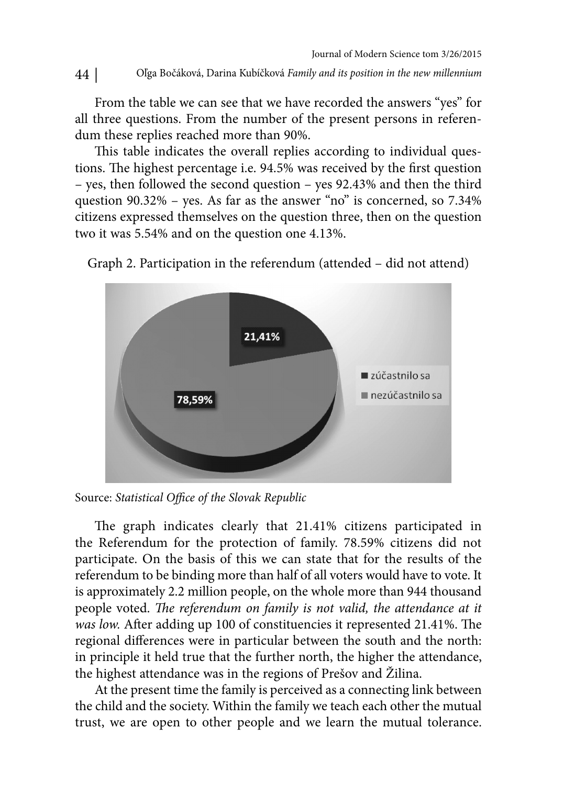From the table we can see that we have recorded the answers "yes" for all three questions. From the number of the present persons in referendum these replies reached more than 90%.

This table indicates the overall replies according to individual questions. The highest percentage i.e. 94.5% was received by the first question – yes, then followed the second question – yes 92.43% and then the third question 90.32% – yes. As far as the answer "no" is concerned, so 7.34% citizens expressed themselves on the question three, then on the question two it was 5.54% and on the question one 4.13%.



Graph 2. Participation in the referendum (attended – did not attend)

Source: Statistical Office of the Slovak Republic

The graph indicates clearly that 21.41% citizens participated in the Referendum for the protection of family. 78.59% citizens did not participate. On the basis of this we can state that for the results of the referendum to be binding more than half of all voters would have to vote. It is approximately 2.2 million people, on the whole more than 944 thousand people voted. The referendum on family is not valid, the attendance at it was low. After adding up 100 of constituencies it represented 21.41%. The regional differences were in particular between the south and the north: in principle it held true that the further north, the higher the attendance, the highest attendance was in the regions of Prešov and Žilina.

At the present time the family is perceived as a connecting link between the child and the society. Within the family we teach each other the mutual trust, we are open to other people and we learn the mutual tolerance.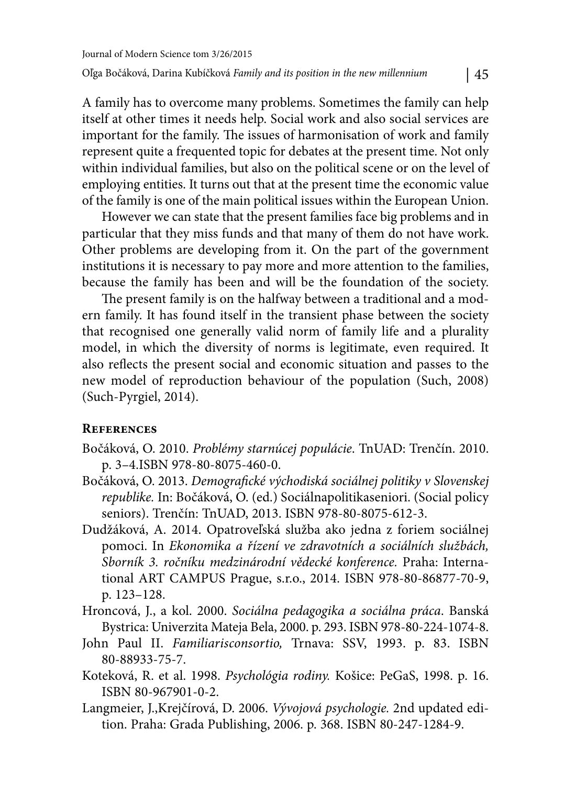A family has to overcome many problems. Sometimes the family can help itself at other times it needs help. Social work and also social services are important for the family. The issues of harmonisation of work and family represent quite a frequented topic for debates at the present time. Not only within individual families, but also on the political scene or on the level of employing entities. It turns out that at the present time the economic value of the family is one of the main political issues within the European Union.

However we can state that the present families face big problems and in particular that they miss funds and that many of them do not have work. Other problems are developing from it. On the part of the government institutions it is necessary to pay more and more attention to the families, because the family has been and will be the foundation of the society.

The present family is on the halfway between a traditional and a modern family. It has found itself in the transient phase between the society that recognised one generally valid norm of family life and a plurality model, in which the diversity of norms is legitimate, even required. It also reflects the present social and economic situation and passes to the new model of reproduction behaviour of the population (Such, 2008) (Such-Pyrgiel, 2014).

## **References**

- Bočáková, O. 2010. Problémy starnúcej populácie. TnUAD: Trenčín. 2010. p. 3–4.ISBN 978-80-8075-460-0.
- Bočáková, O. 2013. Demografické východiská sociálnej politiky v Slovenskej republike. In: Bočáková, O. (ed.) Sociálnapolitikaseniori. (Social policy seniors). Trenčín: TnUAD, 2013. ISBN 978-80-8075-612-3.
- Dudžáková, A. 2014. Opatroveľská služba ako jedna z foriem sociálnej pomoci. In Ekonomika a řízení ve zdravotních a sociálních službách, Sborník 3. ročníku medzinárodní vědecké konference. Praha: International ART CAMPUS Prague, s.r.o., 2014. ISBN 978-80-86877-70-9, p. 123–128.
- Hroncová, J., a kol. 2000. Sociálna pedagogika a sociálna práca. Banská Bystrica: Univerzita Mateja Bela, 2000. p. 293. ISBN 978-80-224-1074-8.
- John Paul II. Familiarisconsortio, Trnava: SSV, 1993. p. 83. ISBN 80-88933-75-7.
- Koteková, R. et al. 1998. Psychológia rodiny. Košice: PeGaS, 1998. p. 16. ISBN 80-967901-0-2.
- Langmeier, J.,Krejčírová, D. 2006. Vývojová psychologie. 2nd updated edition. Praha: Grada Publishing, 2006. p. 368. ISBN 80-247-1284-9.